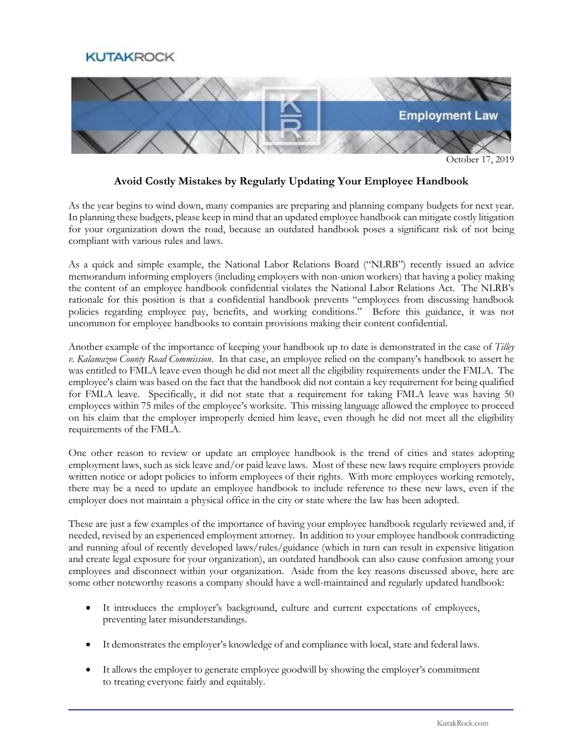## **KUTAKROCK**



October 17, 2019

## **Avoid Costly Mistakes by Regularly Updating Your Employee Handbook**

As the year begins to wind down, many companies are preparing and planning company budgets for next year. In planning these budgets, please keep in mind that an updated employee handbook can mitigate costly litigation for your organization down the road, because an outdated handbook poses a significant risk of not being compliant with various rules and laws.

As a quick and simple example, the National Labor Relations Board ("NLRB") recently issued an advice memorandum informing employers (including employers with non-union workers) that having a policy making the content of an employee handbook confidential violates the National Labor Relations Act. The NLRB's rationale for this position is that a confidential handbook prevents "employees from discussing handbook policies regarding employee pay, benefits, and working conditions." Before this guidance, it was not uncommon for employee handbooks to contain provisions making their content confidential.

Another example of the importance of keeping your handbook up to date is demonstrated in the case of *Tilley v. Kalamazoo County Road Commission*. In that case, an employee relied on the company's handbook to assert he was entitled to FMLA leave even though he did not meet all the eligibility requirements under the FMLA. The employee's claim was based on the fact that the handbook did not contain a key requirement for being qualified for FMLA leave. Specifically, it did not state that a requirement for taking FMLA leave was having 50 employees within 75 miles of the employee's worksite. This missing language allowed the employee to proceed on his claim that the employer improperly denied him leave, even though he did not meet all the eligibility requirements of the FMLA.

One other reason to review or update an employee handbook is the trend of cities and states adopting employment laws, such as sick leave and/or paid leave laws. Most of these new laws require employers provide written notice or adopt policies to inform employees of their rights. With more employees working remotely, there may be a need to update an employee handbook to include reference to these new laws, even if the employer does not maintain a physical office in the city or state where the law has been adopted.

These are just a few examples of the importance of having your employee handbook regularly reviewed and, if needed, revised by an experienced employment attorney. In addition to your employee handbook contradicting and running afoul of recently developed laws/rules/guidance (which in turn can result in expensive litigation and create legal exposure for your organization), an outdated handbook can also cause confusion among your employees and disconnect within your organization. Aside from the key reasons discussed above, here are some other noteworthy reasons a company should have a well-maintained and regularly updated handbook:

- It introduces the employer's background, culture and current expectations of employees, preventing later misunderstandings.
- It demonstrates the employer's knowledge of and compliance with local, state and federal laws.
- It allows the employer to generate employee goodwill by showing the employer's commitment to treating everyone fairly and equitably.